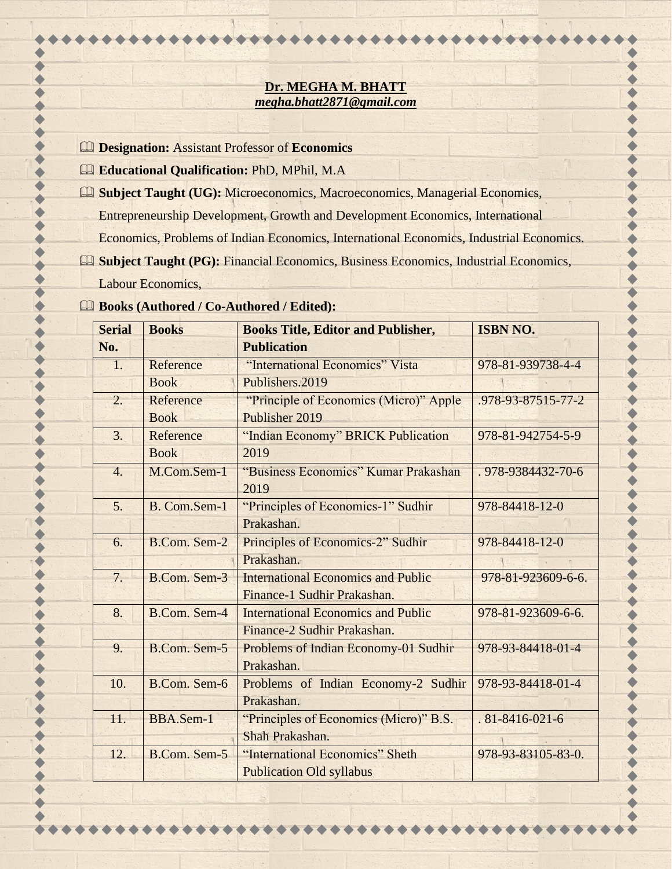## **Dr. MEGHA M. BHATT** *megha.bhatt2871@gmail.com*

- **Designation:** Assistant Professor of **Economics**
- **Educational Qualification:** PhD, MPhil, M.A
- **Subject Taught (UG):** Microeconomics, Macroeconomics, Managerial Economics, Entrepreneurship Development, Growth and Development Economics, International Economics, Problems of Indian Economics, International Economics, Industrial Economics.
- **Subject Taught (PG):** Financial Economics, Business Economics, Industrial Economics, Labour Economics,

## **Books (Authored / Co-Authored / Edited):**

|  | <b>Serial</b>    | <b>Books</b>        | <b>Books Title, Editor and Publisher,</b>          | <b>ISBN NO.</b>        |
|--|------------------|---------------------|----------------------------------------------------|------------------------|
|  | No.              |                     | <b>Publication</b>                                 |                        |
|  | 1.               | Reference           | "International Economics" Vista                    | 978-81-939738-4-4      |
|  |                  | <b>Book</b>         | Publishers.2019                                    |                        |
|  | 2.               | Reference           | "Principle of Economics (Micro)" Apple             | .978-93-87515-77-2     |
|  |                  | <b>Book</b>         | Publisher 2019                                     |                        |
|  | 3.               | Reference           | "Indian Economy" BRICK Publication                 | 978-81-942754-5-9      |
|  |                  | <b>Book</b>         | 2019                                               |                        |
|  | $\overline{4}$ . | M.Com.Sem-1         | "Business Economics" Kumar Prakashan<br>2019       | .978-9384432-70-6      |
|  | 5.               | B. Com.Sem-1        | "Principles of Economics-1" Sudhir                 | 978-84418-12-0         |
|  |                  |                     | Prakashan.                                         |                        |
|  | 6.               | B.Com. Sem-2        | Principles of Economics-2" Sudhir                  | 978-84418-12-0         |
|  |                  |                     | Prakashan.                                         |                        |
|  | 7.               | B.Com. Sem-3        | <b>International Economics and Public</b>          | 978-81-923609-6-6.     |
|  |                  |                     | Finance-1 Sudhir Prakashan.                        |                        |
|  | 8.               | B.Com. Sem-4        | <b>International Economics and Public</b>          | 978-81-923609-6-6.     |
|  |                  |                     | Finance-2 Sudhir Prakashan.                        |                        |
|  | 9.               | B.Com. Sem-5        | Problems of Indian Economy-01 Sudhir<br>Prakashan. | 978-93-84418-01-4      |
|  | 10.              | B.Com. Sem-6        | Problems of Indian Economy-2 Sudhir                | 978-93-84418-01-4      |
|  |                  |                     | Prakashan.                                         |                        |
|  | 11.              | BBA.Sem-1           | "Principles of Economics (Micro)" B.S.             | $.81 - 8416 - 021 - 6$ |
|  |                  |                     | Shah Prakashan.                                    |                        |
|  | 12.              | <b>B.Com. Sem-5</b> | "International Economics" Sheth                    | 978-93-83105-83-0.     |
|  |                  |                     | <b>Publication Old syllabus</b>                    |                        |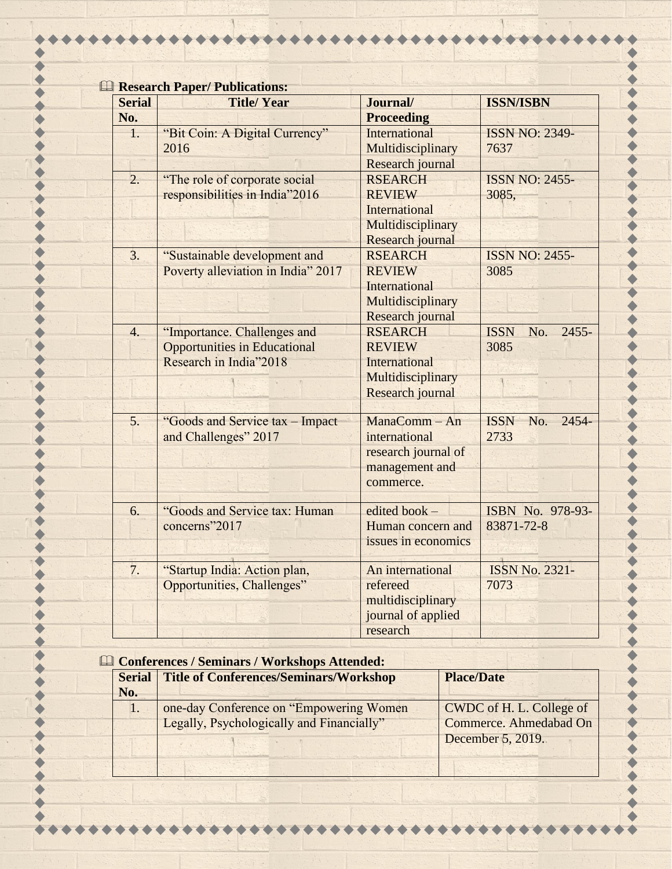| <b>Ell Research Paper/ Publications:</b> |                                     |                      |                                |
|------------------------------------------|-------------------------------------|----------------------|--------------------------------|
| <b>Serial</b>                            | <b>Title/Year</b>                   | Journal/             | <b>ISSN/ISBN</b>               |
| No.                                      |                                     | <b>Proceeding</b>    |                                |
| $\mathbf{1}$ .                           | "Bit Coin: A Digital Currency"      | <b>International</b> | <b>ISSN NO: 2349-</b>          |
|                                          | 2016                                | Multidisciplinary    | 7637                           |
|                                          |                                     | Research journal     |                                |
| $\overline{2}$ .                         | "The role of corporate social       | <b>RSEARCH</b>       | <b>ISSN NO: 2455-</b>          |
|                                          | responsibilities in India"2016      | <b>REVIEW</b>        | 3085,                          |
|                                          |                                     | International        |                                |
|                                          |                                     | Multidisciplinary    |                                |
|                                          |                                     | Research journal     |                                |
| 3.                                       | "Sustainable development and        | <b>RSEARCH</b>       | <b>ISSN NO: 2455-</b>          |
|                                          | Poverty alleviation in India" 2017  | <b>REVIEW</b>        | 3085                           |
|                                          |                                     | International        |                                |
|                                          |                                     | Multidisciplinary    |                                |
|                                          |                                     | Research journal     |                                |
| $\overline{4}$ .                         | "Importance. Challenges and         | <b>RSEARCH</b>       | <b>ISSN</b><br>$2455 -$<br>No. |
|                                          | <b>Opportunities in Educational</b> | <b>REVIEW</b>        | 3085                           |
|                                          | Research in India"2018              | <b>International</b> |                                |
|                                          |                                     | Multidisciplinary    |                                |
|                                          |                                     | Research journal     |                                |
| 5.                                       | "Goods and Service tax - Impact     | ManaComm - An        | $2454 -$<br><b>ISSN</b><br>No. |
|                                          | and Challenges" 2017                | international        | 2733                           |
|                                          |                                     | research journal of  |                                |
|                                          |                                     | management and       |                                |
|                                          |                                     | commerce.            |                                |
| 6.                                       | "Goods and Service tax: Human       | edited book -        | ISBN No. 978-93-               |
|                                          | concerns"2017                       | Human concern and    | 83871-72-8                     |
|                                          |                                     | issues in economics  |                                |
| 7.                                       | "Startup India: Action plan,        | An international     | <b>ISSN No. 2321-</b>          |
|                                          | Opportunities, Challenges"          | refereed             | 7073                           |
|                                          |                                     | multidisciplinary    |                                |
|                                          |                                     | journal of applied   |                                |
|                                          |                                     | research             |                                |
|                                          |                                     |                      |                                |

 $\mathcal{H}$ .

 $\begin{array}{ccc} \bullet & \bullet & \bullet \end{array}$ 

 $\bullet$ 

 $\blacklozenge$ 

 $\bullet$ 

 $\bullet$ 

 $\blacklozenge$ 

 $\bullet$ 

444

 $\bullet$ 

\*\*\*\*\*\*\*

 $\blacklozenge$ 

 $\blacklozenge$ 

 $\cdots$ 

 $\bullet\bullet$ 

1

\*\*\*\*\*\*\*\*\*\*\*\*

| <b>Example 2 Conferences / Seminars / Workshops Attended:</b> |                                                                                       |                                                                         |  |
|---------------------------------------------------------------|---------------------------------------------------------------------------------------|-------------------------------------------------------------------------|--|
| <b>Serial</b><br>No.                                          | Title of Conferences/Seminars/Workshop                                                | <b>Place/Date</b>                                                       |  |
| $\mathbf{I}$ .                                                | one-day Conference on "Empowering Women"<br>Legally, Psychologically and Financially" | CWDC of H. L. College of<br>Commerce. Ahmedabad On<br>December 5, 2019. |  |
|                                                               |                                                                                       |                                                                         |  |

 $\blacklozenge$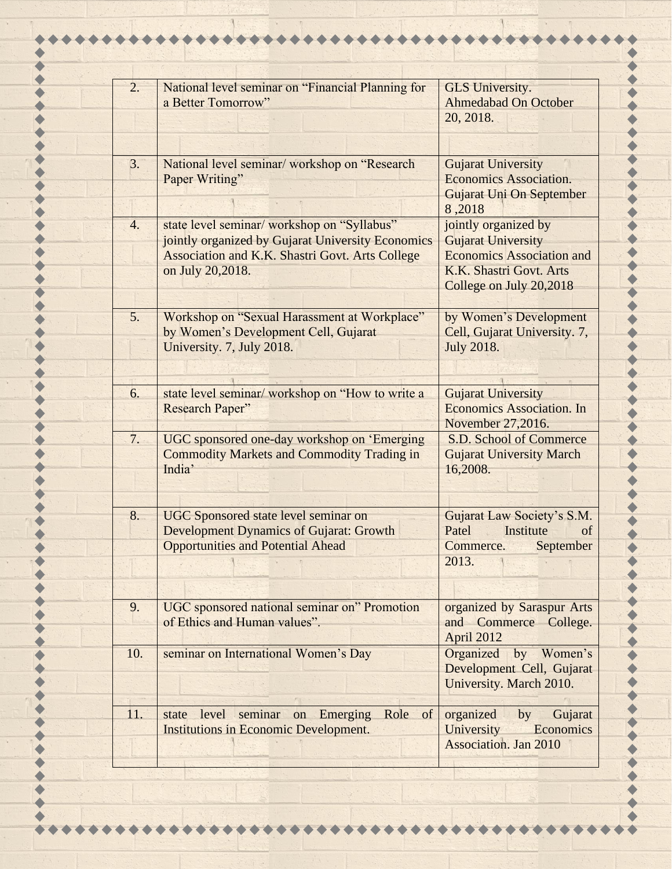| 2.               | National level seminar on "Financial Planning for | <b>GLS University.</b>           |
|------------------|---------------------------------------------------|----------------------------------|
|                  | a Better Tomorrow"                                | <b>Ahmedabad On October</b>      |
|                  |                                                   | 20, 2018.                        |
|                  |                                                   |                                  |
|                  |                                                   |                                  |
| 3.               | National level seminar/ workshop on "Research     | <b>Gujarat University</b>        |
|                  | Paper Writing"                                    | <b>Economics Association.</b>    |
|                  |                                                   | Gujarat Uni On September         |
|                  |                                                   | 8,2018                           |
| $\overline{4}$ . | state level seminar/ workshop on "Syllabus"       | jointly organized by             |
|                  | jointly organized by Gujarat University Economics | <b>Gujarat University</b>        |
|                  | Association and K.K. Shastri Govt. Arts College   | <b>Economics Association and</b> |
|                  | on July 20,2018.                                  | K.K. Shastri Govt. Arts          |
|                  |                                                   | College on July 20,2018          |
|                  |                                                   |                                  |
| 5.               | Workshop on "Sexual Harassment at Workplace"      | by Women's Development           |
|                  | by Women's Development Cell, Gujarat              | Cell, Gujarat University. 7,     |
|                  | University. 7, July 2018.                         | <b>July 2018.</b>                |
|                  |                                                   |                                  |
|                  |                                                   |                                  |
| 6.               | state level seminar/ workshop on "How to write a  | <b>Gujarat University</b>        |
|                  | <b>Research Paper"</b>                            | <b>Economics Association. In</b> |
|                  |                                                   | November 27,2016.                |
| 7.               | UGC sponsored one-day workshop on 'Emerging       | S.D. School of Commerce          |
|                  | <b>Commodity Markets and Commodity Trading in</b> | <b>Gujarat University March</b>  |
|                  | India'                                            | 16,2008.                         |
|                  |                                                   |                                  |
|                  |                                                   |                                  |
| 8.               | <b>UGC</b> Sponsored state level seminar on       | Gujarat Law Society's S.M.       |
|                  | <b>Development Dynamics of Gujarat: Growth</b>    | Institute<br>Patel<br>of         |
|                  | <b>Opportunities and Potential Ahead</b>          | Commerce.<br>September           |
|                  |                                                   | 2013.                            |
|                  |                                                   |                                  |
| 9.               | UGC sponsored national seminar on" Promotion      | organized by Saraspur Arts       |
|                  | of Ethics and Human values".                      | and Commerce College.            |
|                  |                                                   | April 2012                       |
| 10.              | seminar on International Women's Day              | Organized<br>by Women's          |
|                  |                                                   | Development Cell, Gujarat        |
|                  |                                                   | University. March 2010.          |
|                  |                                                   |                                  |
| 11.              | Role of<br>state level seminar on Emerging        | organized by<br>Gujarat          |
|                  | <b>Institutions in Economic Development.</b>      | Economics<br>University          |
|                  |                                                   | <b>Association. Jan 2010</b>     |
|                  |                                                   |                                  |
|                  |                                                   |                                  |

 $\bullet\bullet\bullet$ 

 $\begin{array}{ccc} \bullet & \bullet & \bullet & \bullet \end{array}$ 

 $\begin{array}{c} \bullet & \bullet \\ \bullet & \bullet \end{array}$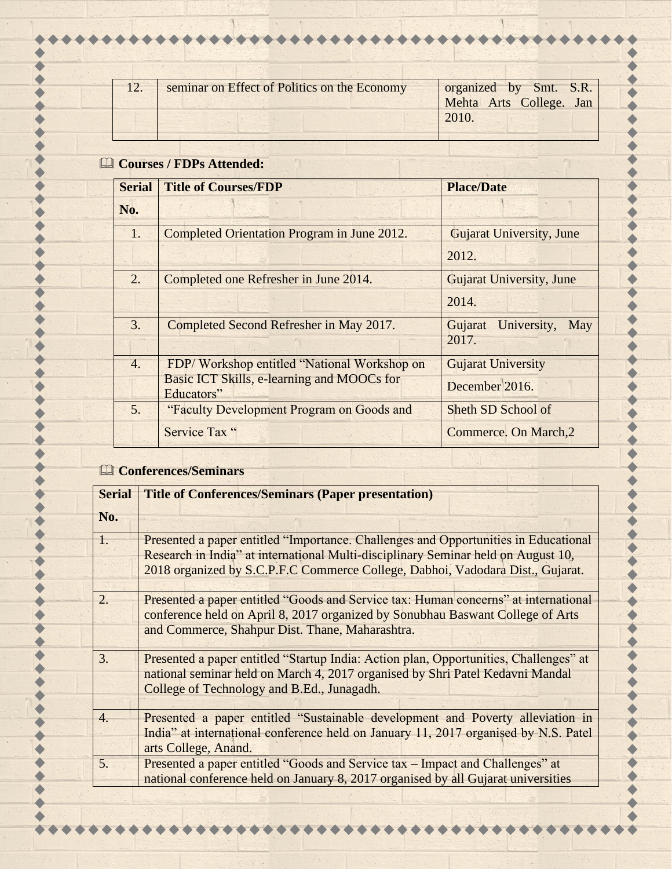| 12. | seminar on Effect of Politics on the Economy | organized by Smt. S.R.<br>Mehta Arts College. Jan |
|-----|----------------------------------------------|---------------------------------------------------|
|     |                                              | 2010.                                             |
|     |                                              |                                                   |

## **Courses / FDPs Attended:**

| <b>Serial</b>    | <b>Title of Courses/FDP</b>                              | <b>Place/Date</b>               |
|------------------|----------------------------------------------------------|---------------------------------|
| No.              |                                                          |                                 |
| $\mathbf{1}$ .   | Completed Orientation Program in June 2012.              | <b>Gujarat University, June</b> |
|                  |                                                          | 2012.                           |
| 2.               | Completed one Refresher in June 2014.                    | <b>Gujarat University, June</b> |
|                  |                                                          | 2014.                           |
| 3.               | Completed Second Refresher in May 2017.                  | Gujarat University,<br>May      |
|                  |                                                          | 2017.                           |
| $\overline{4}$ . | FDP/Workshop entitled "National Workshop on              | <b>Gujarat University</b>       |
|                  | Basic ICT Skills, e-learning and MOOCs for<br>Educators" | December 2016.                  |
| 5.               | "Faculty Development Program on Goods and                | Sheth SD School of              |
|                  | Service Tax "                                            | Commerce. On March, 2           |

## **Conferences/Seminars**

| <b>Serial</b>    | <b>Title of Conferences/Seminars (Paper presentation)</b>                                                                                                                                                                                                  |
|------------------|------------------------------------------------------------------------------------------------------------------------------------------------------------------------------------------------------------------------------------------------------------|
| No.              |                                                                                                                                                                                                                                                            |
| 1.               | Presented a paper entitled "Importance. Challenges and Opportunities in Educational<br>Research in India" at international Multi-disciplinary Seminar held on August 10,<br>2018 organized by S.C.P.F.C Commerce College, Dabhoi, Vadodara Dist., Gujarat. |
| $\overline{2}$ . | Presented a paper entitled "Goods and Service tax: Human concerns" at international<br>conference held on April 8, 2017 organized by Sonubhau Baswant College of Arts<br>and Commerce, Shahpur Dist. Thane, Maharashtra.                                   |
| 3.               | Presented a paper entitled "Startup India: Action plan, Opportunities, Challenges" at<br>national seminar held on March 4, 2017 organised by Shri Patel Kedavni Mandal<br>College of Technology and B.Ed., Junagadh.                                       |
| $\overline{4}$ . | Presented a paper entitled "Sustainable development and Poverty alleviation in<br>India" at international conference held on January 11, 2017 organised by N.S. Patel<br>arts College, Anand.                                                              |
| 5.               | Presented a paper entitled "Goods and Service tax – Impact and Challenges" at<br>national conference held on January 8, 2017 organised by all Gujarat universities                                                                                         |